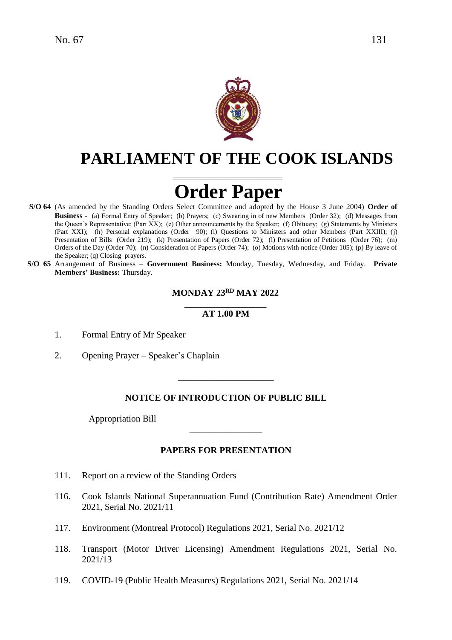

# **PARLIAMENT OF THE COOK ISLANDS**

# **Order Paper**

- **S/O 64** (As amended by the Standing Orders Select Committee and adopted by the House 3 June 2004) **Order of Business -** (a) Formal Entry of Speaker; (b) Prayers; (c) Swearing in of new Members (Order 32); (d) Messages from the Queen's Representative; (Part XX); (e) Other announcements by the Speaker; (f) Obituary; (g) Statements by Ministers (Part XXI); (h) Personal explanations (Order 90); (i) Questions to Ministers and other Members (Part XXIII); (j) Presentation of Bills (Order 219); (k) Presentation of Papers (Order 72); (l) Presentation of Petitions (Order 76); (m) Orders of the Day (Order 70); (n) Consideration of Papers (Order 74); (o) Motions with notice (Order 105); (p) By leave of the Speaker; (q) Closing prayers.
- **S/O 65** Arrangement of Business **Government Business:** Monday, Tuesday, Wednesday, and Friday. **Private Members' Business:** Thursday.

# **MONDAY 23 RD MAY 2022**

#### **\_\_\_\_\_\_\_\_\_\_\_\_\_\_\_\_\_\_ AT 1.00 PM**

- 1. Formal Entry of Mr Speaker
- 2. Opening Prayer Speaker's Chaplain

# **NOTICE OF INTRODUCTION OF PUBLIC BILL**

**\_\_\_\_\_\_\_\_\_\_\_\_\_\_\_\_\_\_\_\_\_**

Appropriation Bill

# **PAPERS FOR PRESENTATION**

\_\_\_\_\_\_\_\_\_\_\_\_\_\_\_\_

- 111. Report on a review of the Standing Orders
- 116. Cook Islands National Superannuation Fund (Contribution Rate) Amendment Order 2021, Serial No. 2021/11
- 117. Environment (Montreal Protocol) Regulations 2021, Serial No. 2021/12
- 118. Transport (Motor Driver Licensing) Amendment Regulations 2021, Serial No. 2021/13
- 119. COVID-19 (Public Health Measures) Regulations 2021, Serial No. 2021/14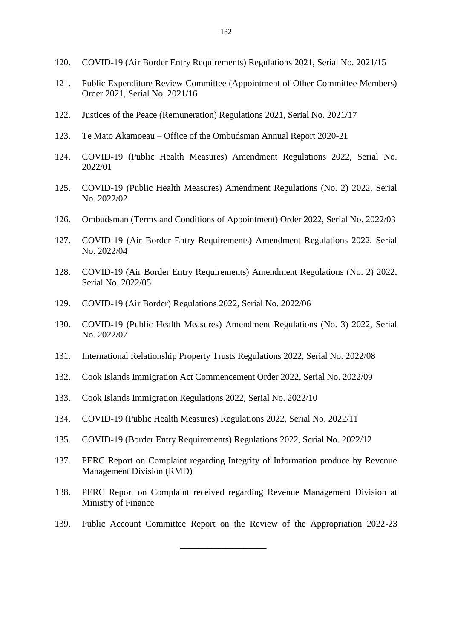- 120. COVID-19 (Air Border Entry Requirements) Regulations 2021, Serial No. 2021/15
- 121. Public Expenditure Review Committee (Appointment of Other Committee Members) Order 2021, Serial No. 2021/16
- 122. Justices of the Peace (Remuneration) Regulations 2021, Serial No. 2021/17
- 123. Te Mato Akamoeau Office of the Ombudsman Annual Report 2020-21
- 124. COVID-19 (Public Health Measures) Amendment Regulations 2022, Serial No. 2022/01
- 125. COVID-19 (Public Health Measures) Amendment Regulations (No. 2) 2022, Serial No. 2022/02
- 126. Ombudsman (Terms and Conditions of Appointment) Order 2022, Serial No. 2022/03
- 127. COVID-19 (Air Border Entry Requirements) Amendment Regulations 2022, Serial No. 2022/04
- 128. COVID-19 (Air Border Entry Requirements) Amendment Regulations (No. 2) 2022, Serial No. 2022/05
- 129. COVID-19 (Air Border) Regulations 2022, Serial No. 2022/06
- 130. COVID-19 (Public Health Measures) Amendment Regulations (No. 3) 2022, Serial No. 2022/07
- 131. International Relationship Property Trusts Regulations 2022, Serial No. 2022/08
- 132. Cook Islands Immigration Act Commencement Order 2022, Serial No. 2022/09
- 133. Cook Islands Immigration Regulations 2022, Serial No. 2022/10

**\_\_\_\_\_\_\_\_\_\_\_\_\_\_\_\_\_\_\_**

- 134. COVID-19 (Public Health Measures) Regulations 2022, Serial No. 2022/11
- 135. COVID-19 (Border Entry Requirements) Regulations 2022, Serial No. 2022/12
- 137. PERC Report on Complaint regarding Integrity of Information produce by Revenue Management Division (RMD)
- 138. PERC Report on Complaint received regarding Revenue Management Division at Ministry of Finance
- 139. Public Account Committee Report on the Review of the Appropriation 2022-23